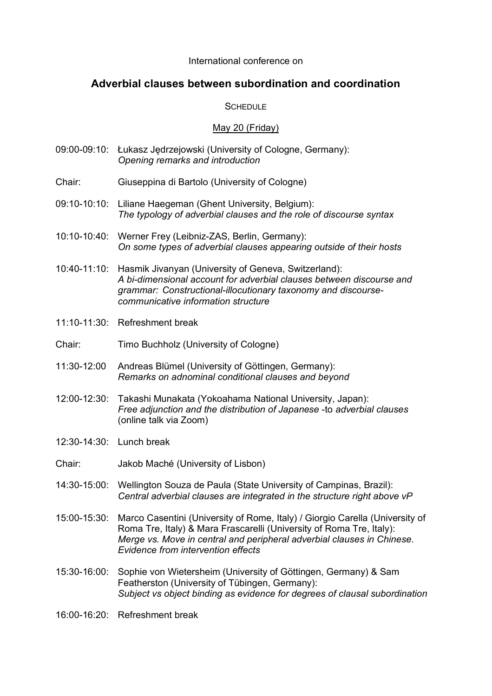#### International conference on

# **Adverbial clauses between subordination and coordination**

## **SCHEDULE**

## May 20 (Friday)

- 09:00-09:10: Łukasz Jędrzejowski (University of Cologne, Germany): *Opening remarks and introduction*
- Chair: Giuseppina di Bartolo (University of Cologne)
- 09:10-10:10: Liliane Haegeman (Ghent University, Belgium): *The typology of adverbial clauses and the role of discourse syntax*
- 10:10-10:40: Werner Frey (Leibniz-ZAS, Berlin, Germany): *On some types of adverbial clauses appearing outside of their hosts*
- 10:40-11:10: Hasmik Jivanyan (University of Geneva, Switzerland): *A bi-dimensional account for adverbial clauses between discourse and grammar: Constructional-illocutionary taxonomy and discoursecommunicative information structure*
- 11:10-11:30: Refreshment break
- Chair: Timo Buchholz (University of Cologne)
- 11:30-12:00 Andreas Blümel (University of Göttingen, Germany): *Remarks on adnominal conditional clauses and beyond*
- 12:00-12:30: Takashi Munakata (Yokoahama National University, Japan): *Free adjunction and the distribution of Japanese* -to *adverbial clauses* (online talk via Zoom)
- 12:30-14:30: Lunch break
- Chair: Jakob Maché (University of Lisbon)
- 14:30-15:00: Wellington Souza de Paula (State University of Campinas, Brazil): *Central adverbial clauses are integrated in the structure right above vP*
- 15:00-15:30: Marco Casentini (University of Rome, Italy) / Giorgio Carella (University of Roma Tre, Italy) & Mara Frascarelli (University of Roma Tre, Italy): *Merge vs. Move in central and peripheral adverbial clauses in Chinese. Evidence from intervention effects*
- 15:30-16:00: Sophie von Wietersheim (University of Göttingen, Germany) & Sam Featherston (University of Tübingen, Germany): *Subject vs object binding as evidence for degrees of clausal subordination*
- 16:00-16:20: Refreshment break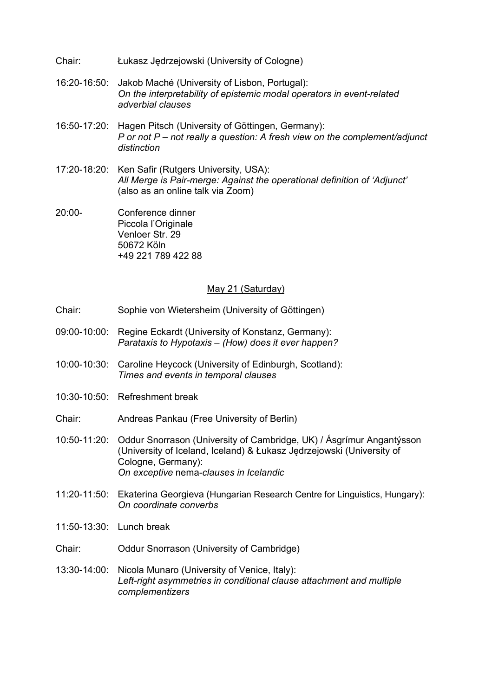- Chair: Łukasz Jędrzejowski (University of Cologne)
- 16:20-16:50: Jakob Maché (University of Lisbon, Portugal): *On the interpretability of epistemic modal operators in event-related adverbial clauses*
- 16:50-17:20: Hagen Pitsch (University of Göttingen, Germany): *P or not P – not really a question: A fresh view on the complement/adjunct distinction*
- 17:20-18:20: Ken Safir (Rutgers University, USA): *All Merge is Pair-merge: Against the operational definition of 'Adjunct'* (also as an online talk via Zoom)
- 20:00- Conference dinner Piccola l'Originale Venloer Str. 29 50672 Köln +49 221 789 422 88

#### May 21 (Saturday)

- Chair: Sophie von Wietersheim (University of Göttingen)
- 09:00-10:00: Regine Eckardt (University of Konstanz, Germany): *Parataxis to Hypotaxis – (How) does it ever happen?*
- 10:00-10:30: Caroline Heycock (University of Edinburgh, Scotland): *Times and events in temporal clauses*
- 10:30-10:50: Refreshment break
- Chair: Andreas Pankau (Free University of Berlin)
- 10:50-11:20: Oddur Snorrason (University of Cambridge, UK) / Ásgrímur Angantýsson (University of Iceland, Iceland) & Łukasz Jędrzejowski (University of Cologne, Germany): *On exceptive* nema*-clauses in Icelandic*
- 11:20-11:50: Ekaterina Georgieva (Hungarian Research Centre for Linguistics, Hungary): *On coordinate converbs*
- 11:50-13:30: Lunch break
- Chair: Oddur Snorrason (University of Cambridge)
- 13:30-14:00: Nicola Munaro (University of Venice, Italy): *Left-right asymmetries in conditional clause attachment and multiple complementizers*